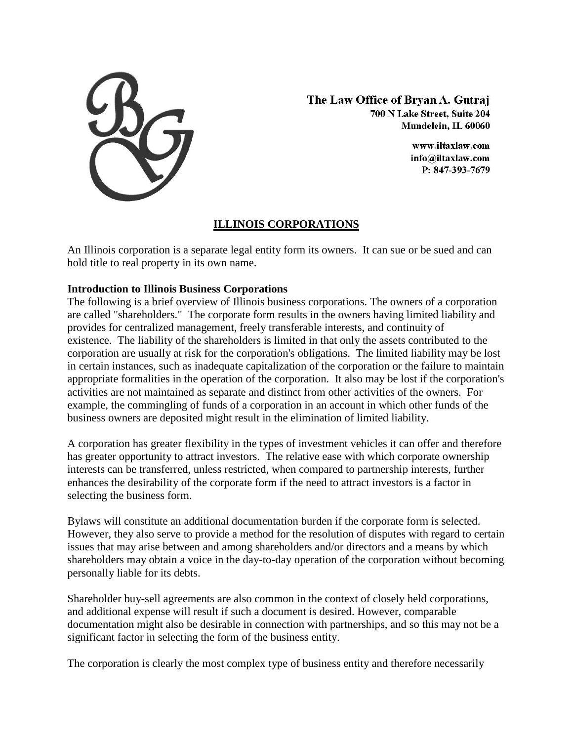

The Law Office of Bryan A. Gutraj 700 N Lake Street, Suite 204 Mundelein. IL 60060

> www.iltaxlaw.com info@iltaxlaw.com P: 847-393-7679

## **ILLINOIS CORPORATIONS**

An [Illinois corporation](http://www.lawyer-chicago.com/start-up-business/corporations.aspx) is a separate legal entity form its owners. It can sue or be sued and can hold title to real property in its own name.

## **Introduction to Illinois Business Corporations**

The following is a brief overview of Illinois business corporations. The owners of a corporation are called "shareholders." The corporate form results in the owners having limited liability and provides for centralized management, freely transferable interests, and continuity of existence. The liability of the shareholders is limited in that only the assets contributed to the corporation are usually at risk for the corporation's obligations. The limited liability may be lost in certain instances, such as inadequate capitalization of the corporation or the failure to maintain appropriate formalities in the operation of the corporation. It also may be lost if the corporation's activities are not maintained as separate and distinct from other activities of the owners. For example, the commingling of funds of a corporation in an account in which other funds of the business owners are deposited might result in the elimination of limited liability.

A corporation has greater flexibility in the types of investment vehicles it can offer and therefore has greater opportunity to attract investors. The relative ease with which corporate ownership interests can be transferred, unless restricted, when compared to partnership interests, further enhances the desirability of the corporate form if the need to attract investors is a factor in selecting the business form.

Bylaws will constitute an additional documentation burden if the corporate form is selected. However, they also serve to provide a method for the resolution of disputes with regard to certain issues that may arise between and among shareholders and/or directors and a means by which shareholders may obtain a voice in the day-to-day operation of the corporation without becoming personally liable for its debts.

Shareholder buy-sell agreements are also common in the context of closely held corporations, and additional expense will result if such a document is desired. However, comparable documentation might also be desirable in connection with partnerships, and so this may not be a significant factor in selecting the form of the business entity.

The corporation is clearly the most complex type of business entity and therefore necessarily